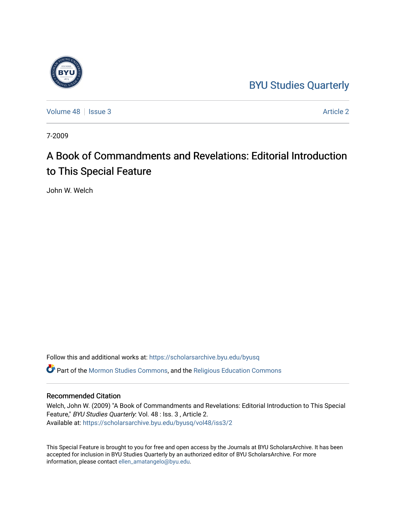## [BYU Studies Quarterly](https://scholarsarchive.byu.edu/byusq)

[Volume 48](https://scholarsarchive.byu.edu/byusq/vol48) | [Issue 3](https://scholarsarchive.byu.edu/byusq/vol48/iss3) [Article 2](https://scholarsarchive.byu.edu/byusq/vol48/iss3/2) Article 2

7-2009

# A Book of Commandments and Revelations: Editorial Introduction to This Special Feature

John W. Welch

Follow this and additional works at: [https://scholarsarchive.byu.edu/byusq](https://scholarsarchive.byu.edu/byusq?utm_source=scholarsarchive.byu.edu%2Fbyusq%2Fvol48%2Fiss3%2F2&utm_medium=PDF&utm_campaign=PDFCoverPages) 

Part of the [Mormon Studies Commons](http://network.bepress.com/hgg/discipline/1360?utm_source=scholarsarchive.byu.edu%2Fbyusq%2Fvol48%2Fiss3%2F2&utm_medium=PDF&utm_campaign=PDFCoverPages), and the [Religious Education Commons](http://network.bepress.com/hgg/discipline/1414?utm_source=scholarsarchive.byu.edu%2Fbyusq%2Fvol48%2Fiss3%2F2&utm_medium=PDF&utm_campaign=PDFCoverPages) 

### Recommended Citation

Welch, John W. (2009) "A Book of Commandments and Revelations: Editorial Introduction to This Special Feature," BYU Studies Quarterly: Vol. 48 : Iss. 3 , Article 2. Available at: [https://scholarsarchive.byu.edu/byusq/vol48/iss3/2](https://scholarsarchive.byu.edu/byusq/vol48/iss3/2?utm_source=scholarsarchive.byu.edu%2Fbyusq%2Fvol48%2Fiss3%2F2&utm_medium=PDF&utm_campaign=PDFCoverPages)

This Special Feature is brought to you for free and open access by the Journals at BYU ScholarsArchive. It has been accepted for inclusion in BYU Studies Quarterly by an authorized editor of BYU ScholarsArchive. For more information, please contact [ellen\\_amatangelo@byu.edu.](mailto:ellen_amatangelo@byu.edu)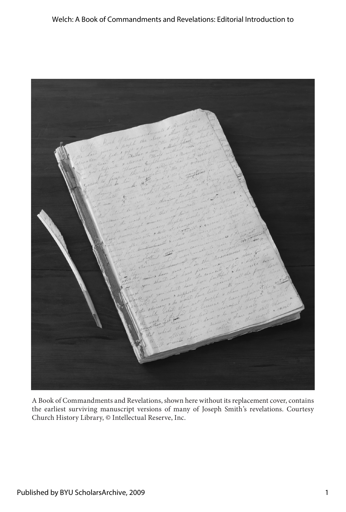

A Book of Commandments and Revelations, shown here without its replacement cover, contains the earliest surviving manuscript versions of many of Joseph Smith's revelations. Courtesy Church History Library, © Intellectual Reserve, Inc.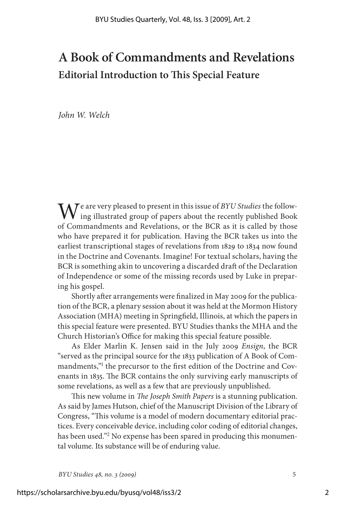## **A Book of Commandments and Revelations Editorial Introduction to This Special Feature**

*John W. Welch*

We are very pleased to present in this issue of *BYU Studies* the following illustrated group of papers about the recently published Book of Commandments and Revelations, or the BCR as it is called by those who have prepared it for publication. Having the BCR takes us into the earliest transcriptional stages of revelations from 1829 to 1834 now found in the Doctrine and Covenants. Imagine! For textual scholars, having the BCR is something akin to uncovering a discarded draft of the Declaration of Independence or some of the missing records used by Luke in preparing his gospel.

Shortly after arrangements were finalized in May 2009 for the publication of the BCR, a plenary session about it was held at the Mormon History Association (MHA) meeting in Springfield, Illinois, at which the papers in this special feature were presented. BYU Studies thanks the MHA and the Church Historian's Office for making this special feature possible.

As Elder Marlin K. Jensen said in the July 2009 *Ensign*, the BCR "served as the principal source for the 1833 publication of A Book of Commandments,"<sup>1</sup> the precursor to the first edition of the Doctrine and Covenants in 1835. The BCR contains the only surviving early manuscripts of some revelations, as well as a few that are previously unpublished.

This new volume in *The Joseph Smith Papers* is a stunning publication. As said by James Hutson, chief of the Manuscript Division of the Library of Congress, "This volume is a model of modern documentary editorial practices. Every conceivable device, including color coding of editorial changes, has been used."2 No expense has been spared in producing this monumental volume. Its substance will be of enduring value.

*BYU Studies 48, no. 3 (2009)* 5

2